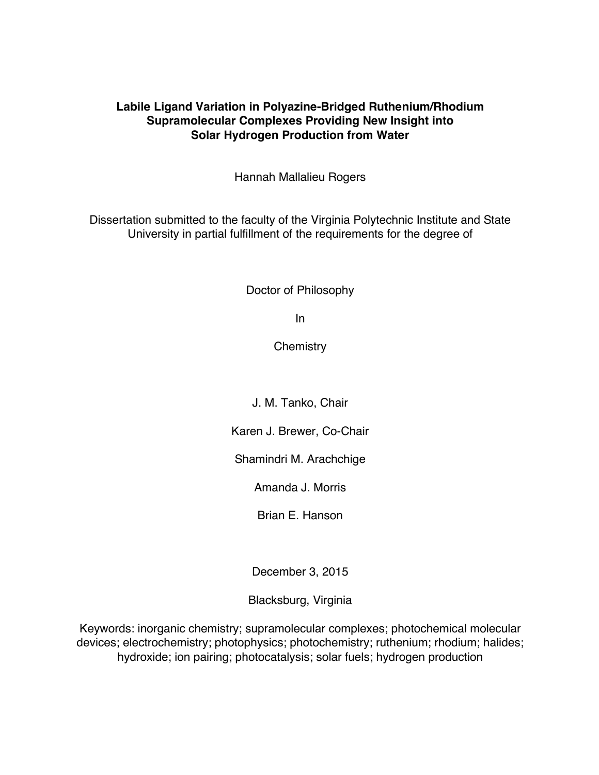### **Labile Ligand Variation in Polyazine-Bridged Ruthenium/Rhodium Supramolecular Complexes Providing New Insight into Solar Hydrogen Production from Water**

Hannah Mallalieu Rogers

Dissertation submitted to the faculty of the Virginia Polytechnic Institute and State University in partial fulfillment of the requirements for the degree of

Doctor of Philosophy

In

**Chemistry** 

J. M. Tanko, Chair

Karen J. Brewer, Co-Chair

Shamindri M. Arachchige

Amanda J. Morris

Brian E. Hanson

December 3, 2015

Blacksburg, Virginia

Keywords: inorganic chemistry; supramolecular complexes; photochemical molecular devices; electrochemistry; photophysics; photochemistry; ruthenium; rhodium; halides; hydroxide; ion pairing; photocatalysis; solar fuels; hydrogen production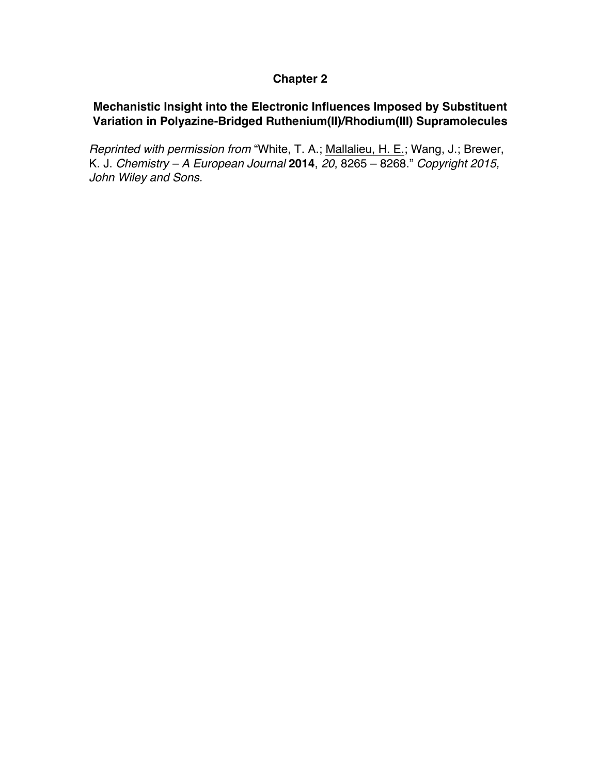# **Chapter 2**

# **Mechanistic Insight into the Electronic Influences Imposed by Substituent Variation in Polyazine-Bridged Ruthenium(II)/Rhodium(III) Supramolecules**

*Reprinted with permission from* "White, T. A.; Mallalieu, H. E.; Wang, J.; Brewer, K. J. *Chemistry – A European Journal* **2014**, *20*, 8265 – 8268." *Copyright 2015, John Wiley and Sons.*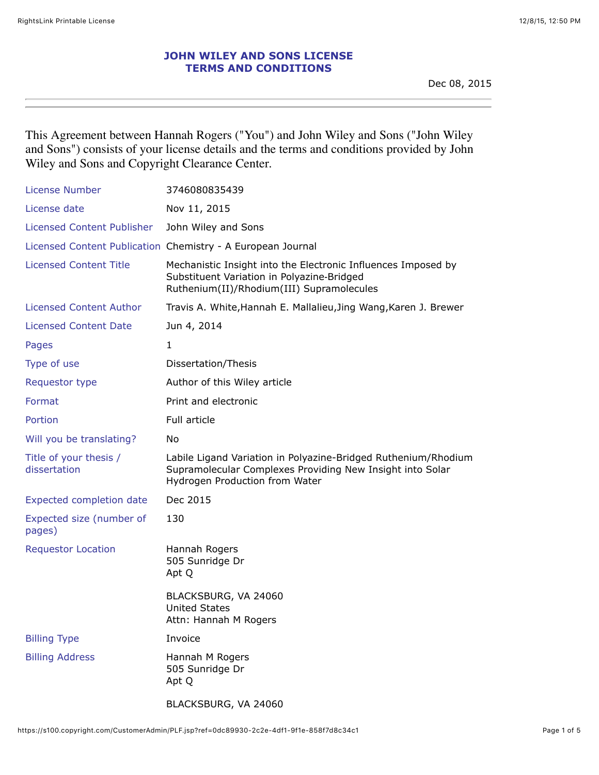#### **JOHN WILEY AND SONS LICENSE TERMS AND CONDITIONS**

Dec 08, 2015

This Agreement between Hannah Rogers ("You") and John Wiley and Sons ("John Wiley and Sons") consists of your license details and the terms and conditions provided by John Wiley and Sons and Copyright Clearance Center.

| License Number                         | 3746080835439                                                                                                                                                 |
|----------------------------------------|---------------------------------------------------------------------------------------------------------------------------------------------------------------|
| License date                           | Nov 11, 2015                                                                                                                                                  |
| Licensed Content Publisher             | John Wiley and Sons                                                                                                                                           |
|                                        | Licensed Content Publication Chemistry - A European Journal                                                                                                   |
| <b>Licensed Content Title</b>          | Mechanistic Insight into the Electronic Influences Imposed by<br>Substituent Variation in Polyazine-Bridged<br>Ruthenium(II)/Rhodium(III) Supramolecules      |
| <b>Licensed Content Author</b>         | Travis A. White, Hannah E. Mallalieu, Jing Wang, Karen J. Brewer                                                                                              |
| <b>Licensed Content Date</b>           | Jun 4, 2014                                                                                                                                                   |
| Pages                                  | 1                                                                                                                                                             |
| Type of use                            | Dissertation/Thesis                                                                                                                                           |
| Requestor type                         | Author of this Wiley article                                                                                                                                  |
| Format                                 | Print and electronic                                                                                                                                          |
| Portion                                | <b>Full article</b>                                                                                                                                           |
| Will you be translating?               | No                                                                                                                                                            |
| Title of your thesis /<br>dissertation | Labile Ligand Variation in Polyazine-Bridged Ruthenium/Rhodium<br>Supramolecular Complexes Providing New Insight into Solar<br>Hydrogen Production from Water |
| <b>Expected completion date</b>        | Dec 2015                                                                                                                                                      |
| Expected size (number of<br>pages)     | 130                                                                                                                                                           |
| <b>Requestor Location</b>              | Hannah Rogers<br>505 Sunridge Dr<br>Apt Q                                                                                                                     |
|                                        | BLACKSBURG, VA 24060<br><b>United States</b><br>Attn: Hannah M Rogers                                                                                         |
| <b>Billing Type</b>                    | Invoice                                                                                                                                                       |
| <b>Billing Address</b>                 | Hannah M Rogers<br>505 Sunridge Dr<br>Apt Q                                                                                                                   |
|                                        | BLACKSBURG, VA 24060                                                                                                                                          |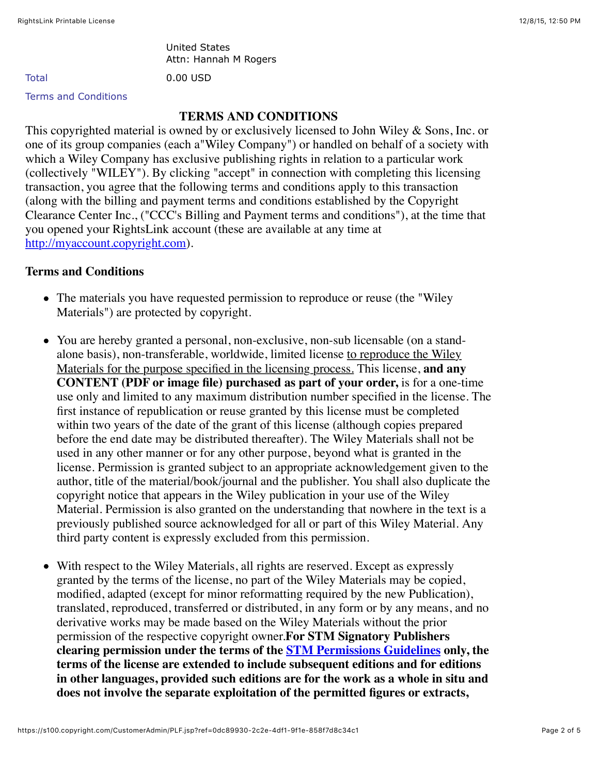United States Attn: Hannah M Rogers

Total 0.00 USD

#### Terms and Conditions

#### **TERMS AND CONDITIONS**

This copyrighted material is owned by or exclusively licensed to John Wiley & Sons, Inc. or one of its group companies (each a"Wiley Company") or handled on behalf of a society with which a Wiley Company has exclusive publishing rights in relation to a particular work (collectively "WILEY"). By clicking "accept" in connection with completing this licensing transaction, you agree that the following terms and conditions apply to this transaction (along with the billing and payment terms and conditions established by the Copyright Clearance Center Inc., ("CCC's Billing and Payment terms and conditions"), at the time that you opened your RightsLink account (these are available at any time at http://myaccount.copyright.com).

# **Terms and Conditions**

- The materials you have requested permission to reproduce or reuse (the "Wiley" Materials") are protected by copyright.
- You are hereby granted a personal, non-exclusive, non-sub licensable (on a standalone basis), non-transferable, worldwide, limited license to reproduce the Wiley Materials for the purpose specified in the licensing process. This license, **and any CONTENT (PDF or image file) purchased as part of your order,** is for a one-time use only and limited to any maximum distribution number specified in the license. The first instance of republication or reuse granted by this license must be completed within two years of the date of the grant of this license (although copies prepared before the end date may be distributed thereafter). The Wiley Materials shall not be used in any other manner or for any other purpose, beyond what is granted in the license. Permission is granted subject to an appropriate acknowledgement given to the author, title of the material/book/journal and the publisher. You shall also duplicate the copyright notice that appears in the Wiley publication in your use of the Wiley Material. Permission is also granted on the understanding that nowhere in the text is a previously published source acknowledged for all or part of this Wiley Material. Any third party content is expressly excluded from this permission.
- With respect to the Wiley Materials, all rights are reserved. Except as expressly  $\bullet$ granted by the terms of the license, no part of the Wiley Materials may be copied, modified, adapted (except for minor reformatting required by the new Publication), translated, reproduced, transferred or distributed, in any form or by any means, and no derivative works may be made based on the Wiley Materials without the prior permission of the respective copyright owner.**For STM Signatory Publishers clearing permission under the terms of the STM Permissions Guidelines only, the terms of the license are extended to include subsequent editions and for editions in other languages, provided such editions are for the work as a whole in situ and does not involve the separate exploitation of the permitted figures or extracts,**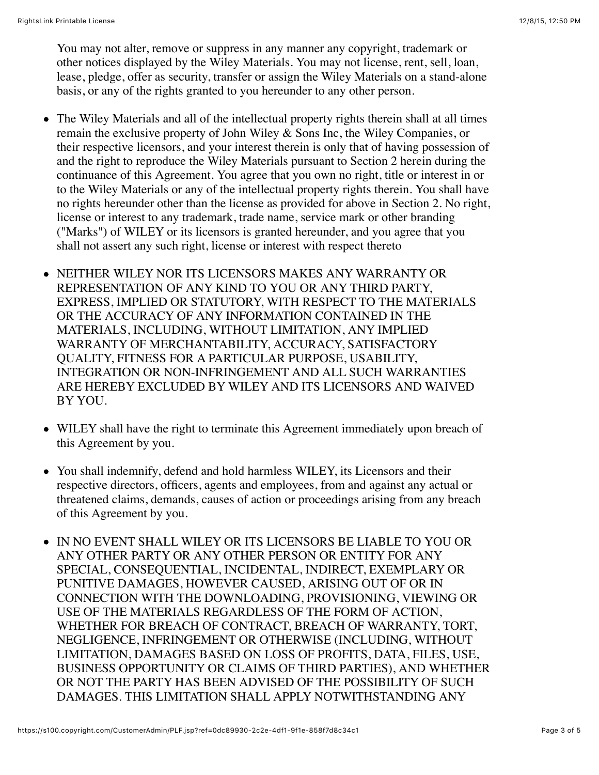You may not alter, remove or suppress in any manner any copyright, trademark or other notices displayed by the Wiley Materials. You may not license, rent, sell, loan, lease, pledge, offer as security, transfer or assign the Wiley Materials on a stand-alone basis, or any of the rights granted to you hereunder to any other person.

- The Wiley Materials and all of the intellectual property rights therein shall at all times  $\bullet$ remain the exclusive property of John Wiley & Sons Inc, the Wiley Companies, or their respective licensors, and your interest therein is only that of having possession of and the right to reproduce the Wiley Materials pursuant to Section 2 herein during the continuance of this Agreement. You agree that you own no right, title or interest in or to the Wiley Materials or any of the intellectual property rights therein. You shall have no rights hereunder other than the license as provided for above in Section 2. No right, license or interest to any trademark, trade name, service mark or other branding ("Marks") of WILEY or its licensors is granted hereunder, and you agree that you shall not assert any such right, license or interest with respect thereto
- NEITHER WILEY NOR ITS LICENSORS MAKES ANY WARRANTY OR REPRESENTATION OF ANY KIND TO YOU OR ANY THIRD PARTY, EXPRESS, IMPLIED OR STATUTORY, WITH RESPECT TO THE MATERIALS OR THE ACCURACY OF ANY INFORMATION CONTAINED IN THE MATERIALS, INCLUDING, WITHOUT LIMITATION, ANY IMPLIED WARRANTY OF MERCHANTABILITY, ACCURACY, SATISFACTORY QUALITY, FITNESS FOR A PARTICULAR PURPOSE, USABILITY, INTEGRATION OR NON-INFRINGEMENT AND ALL SUCH WARRANTIES ARE HEREBY EXCLUDED BY WILEY AND ITS LICENSORS AND WAIVED BY YOU.
- WILEY shall have the right to terminate this Agreement immediately upon breach of this Agreement by you.
- You shall indemnify, defend and hold harmless WILEY, its Licensors and their respective directors, officers, agents and employees, from and against any actual or threatened claims, demands, causes of action or proceedings arising from any breach of this Agreement by you.
- IN NO EVENT SHALL WILEY OR ITS LICENSORS BE LIABLE TO YOU OR ANY OTHER PARTY OR ANY OTHER PERSON OR ENTITY FOR ANY SPECIAL, CONSEQUENTIAL, INCIDENTAL, INDIRECT, EXEMPLARY OR PUNITIVE DAMAGES, HOWEVER CAUSED, ARISING OUT OF OR IN CONNECTION WITH THE DOWNLOADING, PROVISIONING, VIEWING OR USE OF THE MATERIALS REGARDLESS OF THE FORM OF ACTION, WHETHER FOR BREACH OF CONTRACT, BREACH OF WARRANTY, TORT, NEGLIGENCE, INFRINGEMENT OR OTHERWISE (INCLUDING, WITHOUT LIMITATION, DAMAGES BASED ON LOSS OF PROFITS, DATA, FILES, USE, BUSINESS OPPORTUNITY OR CLAIMS OF THIRD PARTIES), AND WHETHER OR NOT THE PARTY HAS BEEN ADVISED OF THE POSSIBILITY OF SUCH DAMAGES. THIS LIMITATION SHALL APPLY NOTWITHSTANDING ANY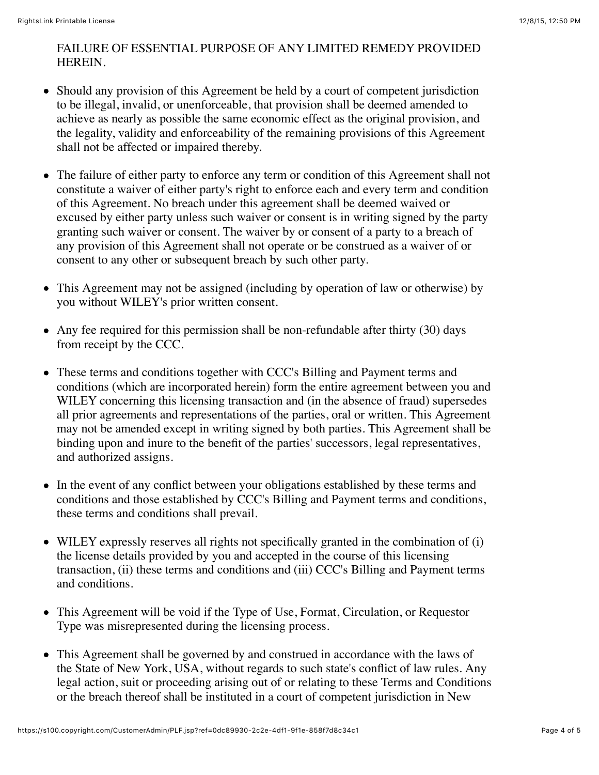# FAILURE OF ESSENTIAL PURPOSE OF ANY LIMITED REMEDY PROVIDED HEREIN.

- $\bullet$ Should any provision of this Agreement be held by a court of competent jurisdiction to be illegal, invalid, or unenforceable, that provision shall be deemed amended to achieve as nearly as possible the same economic effect as the original provision, and the legality, validity and enforceability of the remaining provisions of this Agreement shall not be affected or impaired thereby.
- The failure of either party to enforce any term or condition of this Agreement shall not constitute a waiver of either party's right to enforce each and every term and condition of this Agreement. No breach under this agreement shall be deemed waived or excused by either party unless such waiver or consent is in writing signed by the party granting such waiver or consent. The waiver by or consent of a party to a breach of any provision of this Agreement shall not operate or be construed as a waiver of or consent to any other or subsequent breach by such other party.
- This Agreement may not be assigned (including by operation of law or otherwise) by  $\bullet$ you without WILEY's prior written consent.
- Any fee required for this permission shall be non-refundable after thirty (30) days from receipt by the CCC.
- These terms and conditions together with CCC's Billing and Payment terms and conditions (which are incorporated herein) form the entire agreement between you and WILEY concerning this licensing transaction and (in the absence of fraud) supersedes all prior agreements and representations of the parties, oral or written. This Agreement may not be amended except in writing signed by both parties. This Agreement shall be binding upon and inure to the benefit of the parties' successors, legal representatives, and authorized assigns.
- In the event of any conflict between your obligations established by these terms and  $\bullet$ conditions and those established by CCC's Billing and Payment terms and conditions, these terms and conditions shall prevail.
- WILEY expressly reserves all rights not specifically granted in the combination of (i) the license details provided by you and accepted in the course of this licensing transaction, (ii) these terms and conditions and (iii) CCC's Billing and Payment terms and conditions.
- $\bullet$ This Agreement will be void if the Type of Use, Format, Circulation, or Requestor Type was misrepresented during the licensing process.
- This Agreement shall be governed by and construed in accordance with the laws of the State of New York, USA, without regards to such state's conflict of law rules. Any legal action, suit or proceeding arising out of or relating to these Terms and Conditions or the breach thereof shall be instituted in a court of competent jurisdiction in New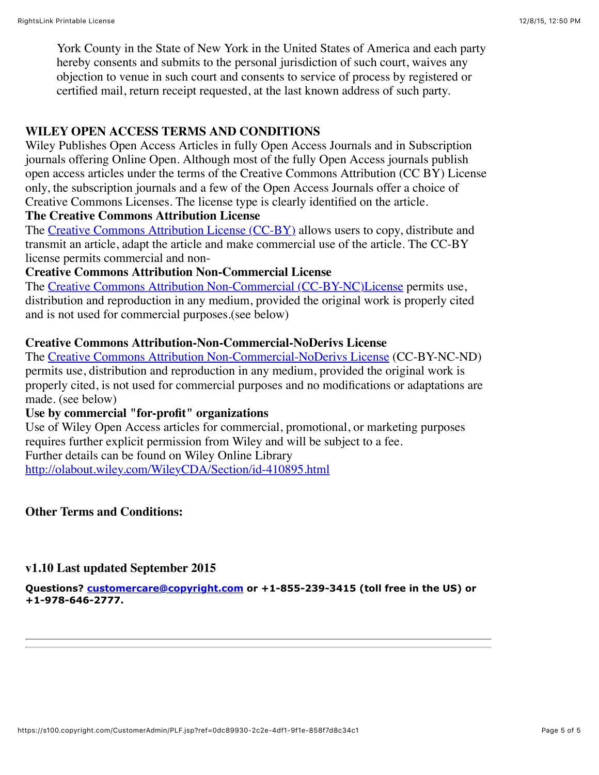York County in the State of New York in the United States of America and each party hereby consents and submits to the personal jurisdiction of such court, waives any objection to venue in such court and consents to service of process by registered or certified mail, return receipt requested, at the last known address of such party.

# **WILEY OPEN ACCESS TERMS AND CONDITIONS**

Wiley Publishes Open Access Articles in fully Open Access Journals and in Subscription journals offering Online Open. Although most of the fully Open Access journals publish open access articles under the terms of the Creative Commons Attribution (CC BY) License only, the subscription journals and a few of the Open Access Journals offer a choice of Creative Commons Licenses. The license type is clearly identified on the article.

### **The Creative Commons Attribution License**

The Creative Commons Attribution License (CC-BY) allows users to copy, distribute and transmit an article, adapt the article and make commercial use of the article. The CC-BY license permits commercial and non-

### **Creative Commons Attribution Non-Commercial License**

The Creative Commons Attribution Non-Commercial (CC-BY-NC)License permits use, distribution and reproduction in any medium, provided the original work is properly cited and is not used for commercial purposes.(see below)

# **Creative Commons Attribution-Non-Commercial-NoDerivs License**

The Creative Commons Attribution Non-Commercial-NoDerivs License (CC-BY-NC-ND) permits use, distribution and reproduction in any medium, provided the original work is properly cited, is not used for commercial purposes and no modifications or adaptations are made. (see below)

# **Use by commercial "for-profit" organizations**

Use of Wiley Open Access articles for commercial, promotional, or marketing purposes requires further explicit permission from Wiley and will be subject to a fee. Further details can be found on Wiley Online Library http://olabout.wiley.com/WileyCDA/Section/id-410895.html

### **Other Terms and Conditions:**

### **v1.10 Last updated September 2015**

**Questions? customercare@copyright.com or +1-855-239-3415 (toll free in the US) or +1-978-646-2777.**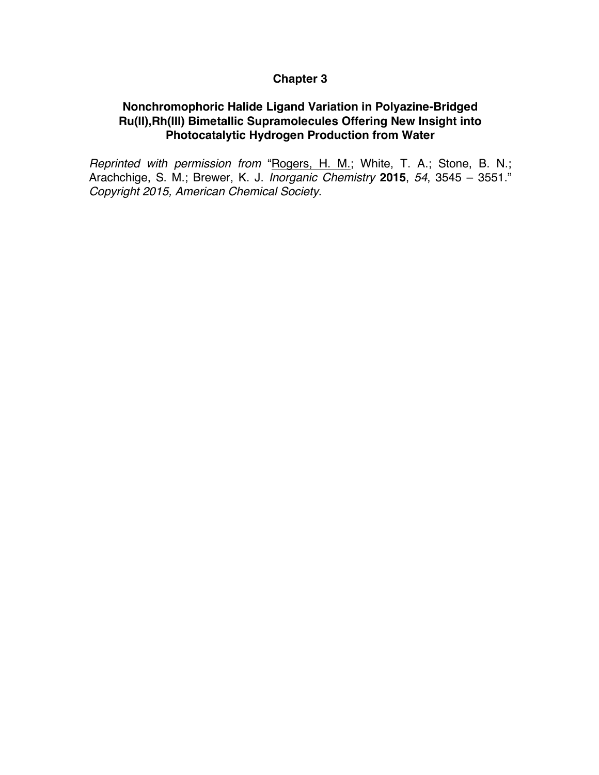# **Chapter 3**

# **Nonchromophoric Halide Ligand Variation in Polyazine-Bridged Ru(II),Rh(III) Bimetallic Supramolecules Offering New Insight into Photocatalytic Hydrogen Production from Water**

*Reprinted with permission from* "Rogers, H. M.; White, T. A.; Stone, B. N.; Arachchige, S. M.; Brewer, K. J. *Inorganic Chemistry* **2015**, *54*, 3545 – 3551." *Copyright 2015, American Chemical Society*.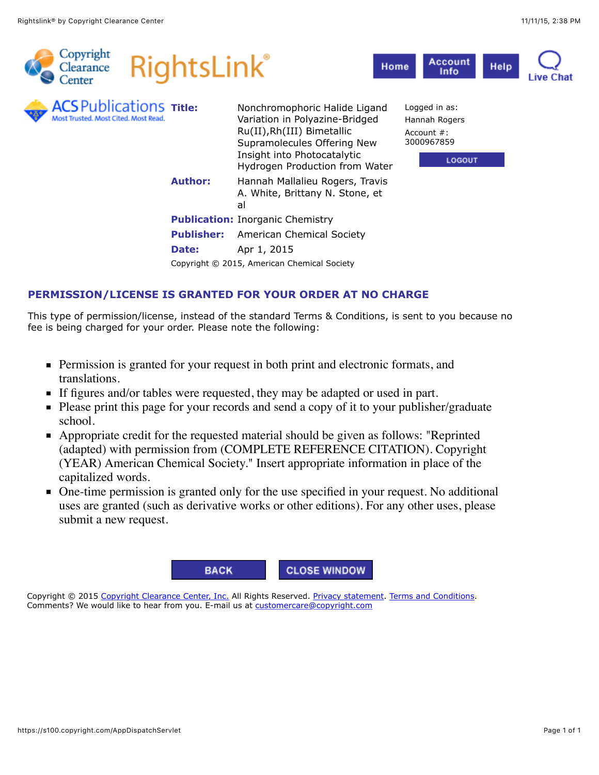

#### **PERMISSION/LICENSE IS GRANTED FOR YOUR ORDER AT NO CHARGE**

This type of permission/license, instead of the standard Terms & Conditions, is sent to you because no fee is being charged for your order. Please note the following:

- **Permission is granted for your request in both print and electronic formats, and** translations.
- If figures and/or tables were requested, they may be adapted or used in part.
- Please print this page for your records and send a copy of it to your publisher/graduate school.
- Appropriate credit for the requested material should be given as follows: "Reprinted (adapted) with permission from (COMPLETE REFERENCE CITATION). Copyright (YEAR) American Chemical Society." Insert appropriate information in place of the capitalized words.
- One-time permission is granted only for the use specified in your request. No additional uses are granted (such as derivative works or other editions). For any other uses, please submit a new request.



Copyright © 2015 Copyright Clearance Center, Inc. All Rights Reserved. Privacy statement. Terms and Conditions. Comments? We would like to hear from you. E-mail us at customercare@copyright.com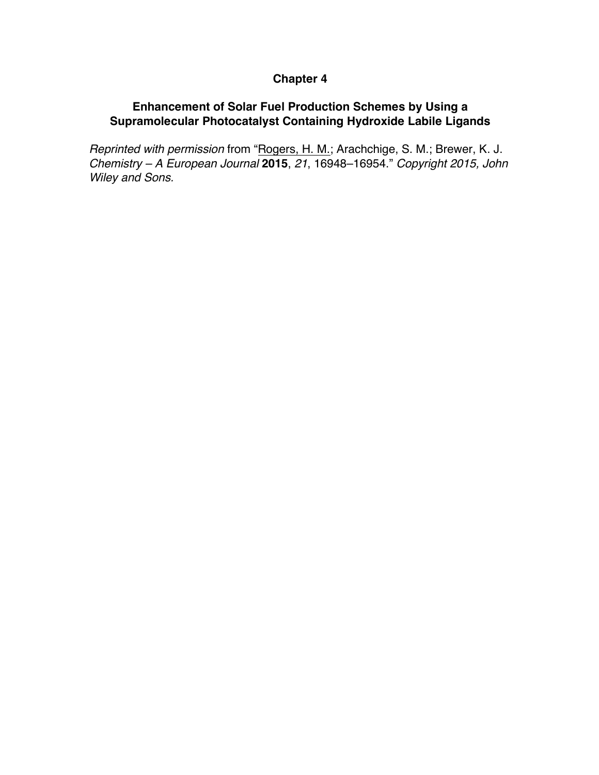# **Chapter 4**

# **Enhancement of Solar Fuel Production Schemes by Using a Supramolecular Photocatalyst Containing Hydroxide Labile Ligands**

*Reprinted with permission* from "Rogers, H. M.; Arachchige, S. M.; Brewer, K. J. *Chemistry – A European Journal* **2015**, *21*, 16948–16954." *Copyright 2015, John Wiley and Sons.*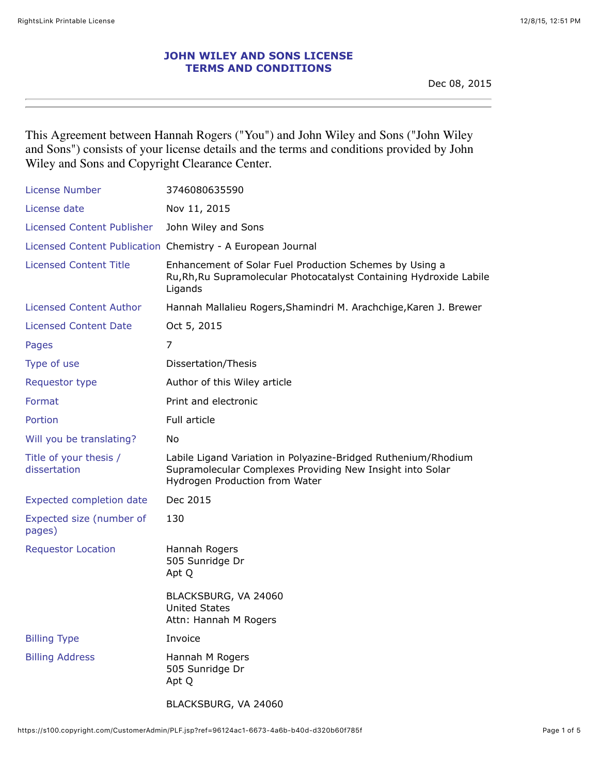#### **JOHN WILEY AND SONS LICENSE TERMS AND CONDITIONS**

Dec 08, 2015

This Agreement between Hannah Rogers ("You") and John Wiley and Sons ("John Wiley and Sons") consists of your license details and the terms and conditions provided by John Wiley and Sons and Copyright Clearance Center.

| <b>License Number</b>                  | 3746080635590                                                                                                                                                 |
|----------------------------------------|---------------------------------------------------------------------------------------------------------------------------------------------------------------|
| License date                           | Nov 11, 2015                                                                                                                                                  |
| <b>Licensed Content Publisher</b>      | John Wiley and Sons                                                                                                                                           |
|                                        | Licensed Content Publication Chemistry - A European Journal                                                                                                   |
| <b>Licensed Content Title</b>          | Enhancement of Solar Fuel Production Schemes by Using a<br>Ru, Rh, Ru Supramolecular Photocatalyst Containing Hydroxide Labile<br>Ligands                     |
| <b>Licensed Content Author</b>         | Hannah Mallalieu Rogers, Shamindri M. Arachchige, Karen J. Brewer                                                                                             |
| <b>Licensed Content Date</b>           | Oct 5, 2015                                                                                                                                                   |
| Pages                                  | 7                                                                                                                                                             |
| Type of use                            | Dissertation/Thesis                                                                                                                                           |
| Requestor type                         | Author of this Wiley article                                                                                                                                  |
| Format                                 | Print and electronic                                                                                                                                          |
| Portion                                | Full article                                                                                                                                                  |
| Will you be translating?               | No                                                                                                                                                            |
| Title of your thesis /<br>dissertation | Labile Ligand Variation in Polyazine-Bridged Ruthenium/Rhodium<br>Supramolecular Complexes Providing New Insight into Solar<br>Hydrogen Production from Water |
| <b>Expected completion date</b>        | Dec 2015                                                                                                                                                      |
| Expected size (number of<br>pages)     | 130                                                                                                                                                           |
| <b>Requestor Location</b>              | Hannah Rogers<br>505 Sunridge Dr<br>Apt Q                                                                                                                     |
|                                        | BLACKSBURG, VA 24060<br><b>United States</b><br>Attn: Hannah M Rogers                                                                                         |
| <b>Billing Type</b>                    | Invoice                                                                                                                                                       |
| <b>Billing Address</b>                 | Hannah M Rogers<br>505 Sunridge Dr<br>Apt Q                                                                                                                   |
|                                        | BLACKSBURG, VA 24060                                                                                                                                          |

https://s100.copyright.com/CustomerAdmin/PLF.jsp?ref=96124ac1-6673-4a6b-b40d-d320b60f785f Page 1 of 5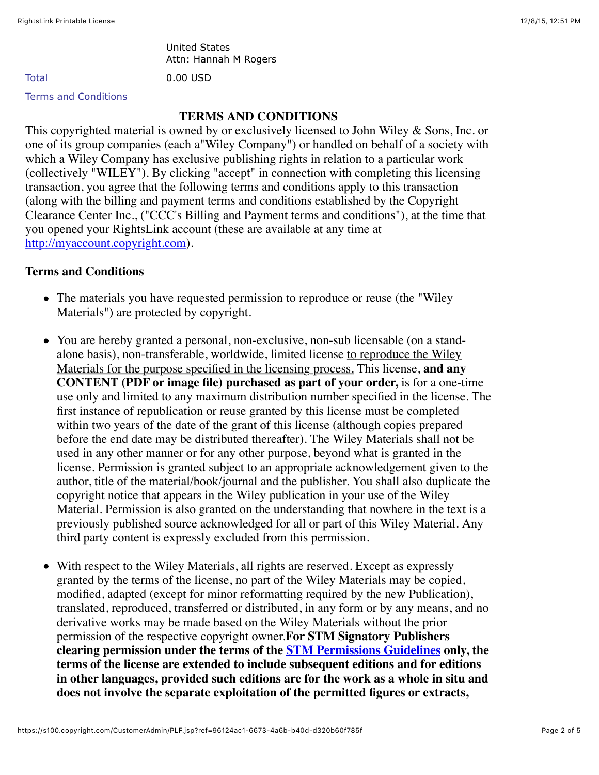United States Attn: Hannah M Rogers

Total 0.00 USD

#### Terms and Conditions

#### **TERMS AND CONDITIONS**

This copyrighted material is owned by or exclusively licensed to John Wiley & Sons, Inc. or one of its group companies (each a"Wiley Company") or handled on behalf of a society with which a Wiley Company has exclusive publishing rights in relation to a particular work (collectively "WILEY"). By clicking "accept" in connection with completing this licensing transaction, you agree that the following terms and conditions apply to this transaction (along with the billing and payment terms and conditions established by the Copyright Clearance Center Inc., ("CCC's Billing and Payment terms and conditions"), at the time that you opened your RightsLink account (these are available at any time at http://myaccount.copyright.com).

### **Terms and Conditions**

- The materials you have requested permission to reproduce or reuse (the "Wiley" Materials") are protected by copyright.
- You are hereby granted a personal, non-exclusive, non-sub licensable (on a standalone basis), non-transferable, worldwide, limited license to reproduce the Wiley Materials for the purpose specified in the licensing process. This license, **and any CONTENT (PDF or image file) purchased as part of your order,** is for a one-time use only and limited to any maximum distribution number specified in the license. The first instance of republication or reuse granted by this license must be completed within two years of the date of the grant of this license (although copies prepared before the end date may be distributed thereafter). The Wiley Materials shall not be used in any other manner or for any other purpose, beyond what is granted in the license. Permission is granted subject to an appropriate acknowledgement given to the author, title of the material/book/journal and the publisher. You shall also duplicate the copyright notice that appears in the Wiley publication in your use of the Wiley Material. Permission is also granted on the understanding that nowhere in the text is a previously published source acknowledged for all or part of this Wiley Material. Any third party content is expressly excluded from this permission.
- With respect to the Wiley Materials, all rights are reserved. Except as expressly  $\bullet$ granted by the terms of the license, no part of the Wiley Materials may be copied, modified, adapted (except for minor reformatting required by the new Publication), translated, reproduced, transferred or distributed, in any form or by any means, and no derivative works may be made based on the Wiley Materials without the prior permission of the respective copyright owner.**For STM Signatory Publishers clearing permission under the terms of the STM Permissions Guidelines only, the terms of the license are extended to include subsequent editions and for editions in other languages, provided such editions are for the work as a whole in situ and does not involve the separate exploitation of the permitted figures or extracts,**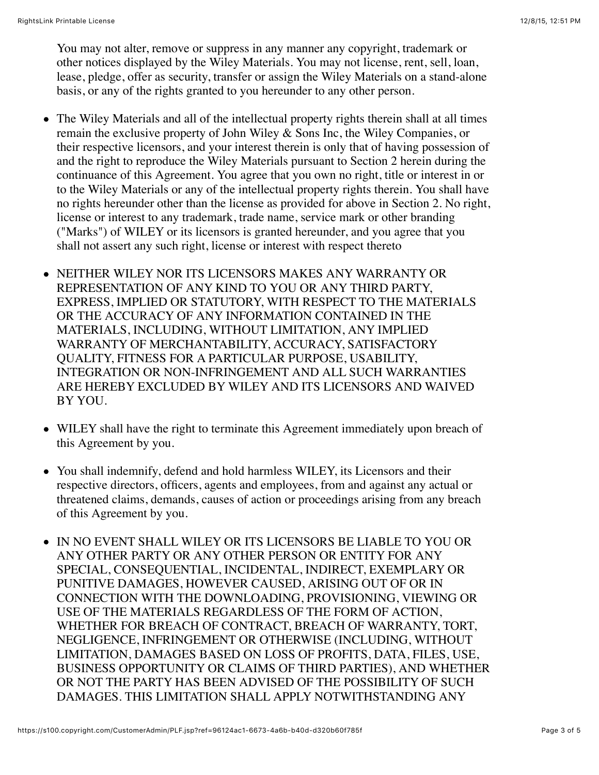You may not alter, remove or suppress in any manner any copyright, trademark or other notices displayed by the Wiley Materials. You may not license, rent, sell, loan, lease, pledge, offer as security, transfer or assign the Wiley Materials on a stand-alone basis, or any of the rights granted to you hereunder to any other person.

- The Wiley Materials and all of the intellectual property rights therein shall at all times  $\bullet$ remain the exclusive property of John Wiley & Sons Inc, the Wiley Companies, or their respective licensors, and your interest therein is only that of having possession of and the right to reproduce the Wiley Materials pursuant to Section 2 herein during the continuance of this Agreement. You agree that you own no right, title or interest in or to the Wiley Materials or any of the intellectual property rights therein. You shall have no rights hereunder other than the license as provided for above in Section 2. No right, license or interest to any trademark, trade name, service mark or other branding ("Marks") of WILEY or its licensors is granted hereunder, and you agree that you shall not assert any such right, license or interest with respect thereto
- NEITHER WILEY NOR ITS LICENSORS MAKES ANY WARRANTY OR REPRESENTATION OF ANY KIND TO YOU OR ANY THIRD PARTY, EXPRESS, IMPLIED OR STATUTORY, WITH RESPECT TO THE MATERIALS OR THE ACCURACY OF ANY INFORMATION CONTAINED IN THE MATERIALS, INCLUDING, WITHOUT LIMITATION, ANY IMPLIED WARRANTY OF MERCHANTABILITY, ACCURACY, SATISFACTORY QUALITY, FITNESS FOR A PARTICULAR PURPOSE, USABILITY, INTEGRATION OR NON-INFRINGEMENT AND ALL SUCH WARRANTIES ARE HEREBY EXCLUDED BY WILEY AND ITS LICENSORS AND WAIVED BY YOU.
- WILEY shall have the right to terminate this Agreement immediately upon breach of this Agreement by you.
- You shall indemnify, defend and hold harmless WILEY, its Licensors and their respective directors, officers, agents and employees, from and against any actual or threatened claims, demands, causes of action or proceedings arising from any breach of this Agreement by you.
- IN NO EVENT SHALL WILEY OR ITS LICENSORS BE LIABLE TO YOU OR ANY OTHER PARTY OR ANY OTHER PERSON OR ENTITY FOR ANY SPECIAL, CONSEQUENTIAL, INCIDENTAL, INDIRECT, EXEMPLARY OR PUNITIVE DAMAGES, HOWEVER CAUSED, ARISING OUT OF OR IN CONNECTION WITH THE DOWNLOADING, PROVISIONING, VIEWING OR USE OF THE MATERIALS REGARDLESS OF THE FORM OF ACTION, WHETHER FOR BREACH OF CONTRACT, BREACH OF WARRANTY, TORT, NEGLIGENCE, INFRINGEMENT OR OTHERWISE (INCLUDING, WITHOUT LIMITATION, DAMAGES BASED ON LOSS OF PROFITS, DATA, FILES, USE, BUSINESS OPPORTUNITY OR CLAIMS OF THIRD PARTIES), AND WHETHER OR NOT THE PARTY HAS BEEN ADVISED OF THE POSSIBILITY OF SUCH DAMAGES. THIS LIMITATION SHALL APPLY NOTWITHSTANDING ANY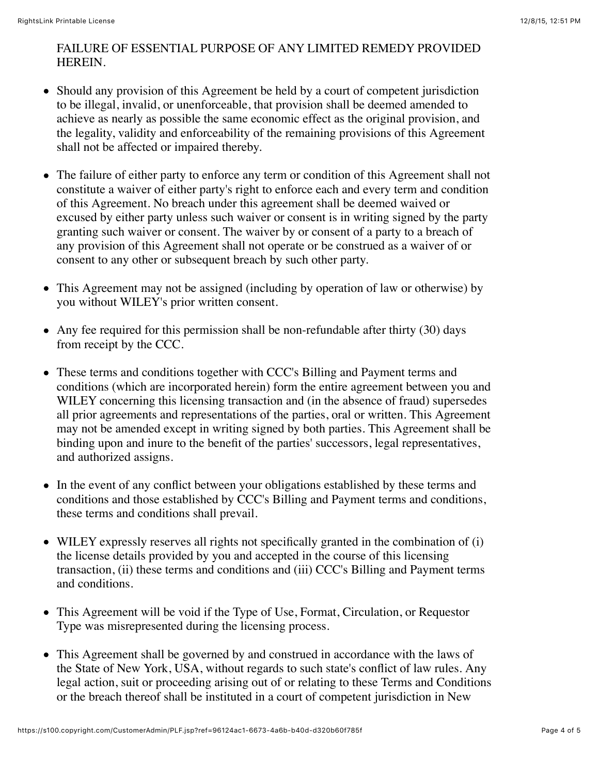# FAILURE OF ESSENTIAL PURPOSE OF ANY LIMITED REMEDY PROVIDED HEREIN.

- $\bullet$ Should any provision of this Agreement be held by a court of competent jurisdiction to be illegal, invalid, or unenforceable, that provision shall be deemed amended to achieve as nearly as possible the same economic effect as the original provision, and the legality, validity and enforceability of the remaining provisions of this Agreement shall not be affected or impaired thereby.
- The failure of either party to enforce any term or condition of this Agreement shall not constitute a waiver of either party's right to enforce each and every term and condition of this Agreement. No breach under this agreement shall be deemed waived or excused by either party unless such waiver or consent is in writing signed by the party granting such waiver or consent. The waiver by or consent of a party to a breach of any provision of this Agreement shall not operate or be construed as a waiver of or consent to any other or subsequent breach by such other party.
- This Agreement may not be assigned (including by operation of law or otherwise) by  $\bullet$ you without WILEY's prior written consent.
- Any fee required for this permission shall be non-refundable after thirty (30) days from receipt by the CCC.
- These terms and conditions together with CCC's Billing and Payment terms and conditions (which are incorporated herein) form the entire agreement between you and WILEY concerning this licensing transaction and (in the absence of fraud) supersedes all prior agreements and representations of the parties, oral or written. This Agreement may not be amended except in writing signed by both parties. This Agreement shall be binding upon and inure to the benefit of the parties' successors, legal representatives, and authorized assigns.
- In the event of any conflict between your obligations established by these terms and  $\bullet$ conditions and those established by CCC's Billing and Payment terms and conditions, these terms and conditions shall prevail.
- WILEY expressly reserves all rights not specifically granted in the combination of (i) the license details provided by you and accepted in the course of this licensing transaction, (ii) these terms and conditions and (iii) CCC's Billing and Payment terms and conditions.
- $\bullet$ This Agreement will be void if the Type of Use, Format, Circulation, or Requestor Type was misrepresented during the licensing process.
- This Agreement shall be governed by and construed in accordance with the laws of the State of New York, USA, without regards to such state's conflict of law rules. Any legal action, suit or proceeding arising out of or relating to these Terms and Conditions or the breach thereof shall be instituted in a court of competent jurisdiction in New